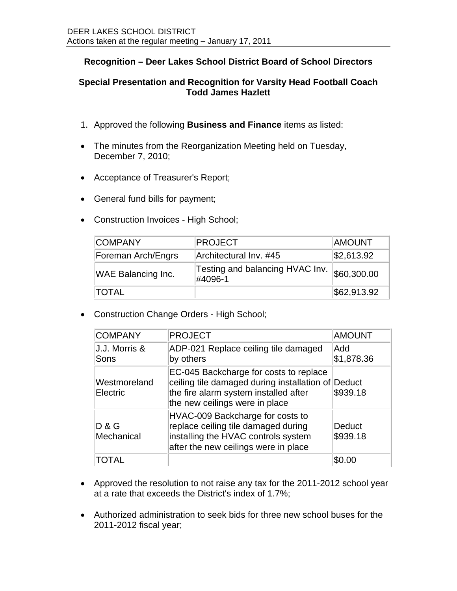## **Recognition – Deer Lakes School District Board of School Directors**

## **Special Presentation and Recognition for Varsity Head Football Coach Todd James Hazlett**

- 1. Approved the following **Business and Finance** items as listed:
- The minutes from the Reorganization Meeting held on Tuesday, December 7, 2010;
- Acceptance of Treasurer's Report;
- General fund bills for payment;
- Construction Invoices High School;

| <b>COMPANY</b>            | <b>PROJECT</b>                             | <b>AMOUNT</b> |
|---------------------------|--------------------------------------------|---------------|
| Foreman Arch/Engrs        | Architectural Inv. #45                     | \$2,613.92    |
| <b>WAE Balancing Inc.</b> | Testing and balancing HVAC Inv.<br>#4096-1 | \$60,300.00   |
| <b>TOTAL</b>              |                                            | \$62,913.92   |

• Construction Change Orders - High School;

| <b>COMPANY</b>           | <b>PROJECT</b>                                                                                                                                                          | <b>AMOUNT</b>      |
|--------------------------|-------------------------------------------------------------------------------------------------------------------------------------------------------------------------|--------------------|
| J.J. Morris &<br>Sons    | ADP-021 Replace ceiling tile damaged<br>by others                                                                                                                       | Add<br>\$1,878.36  |
| Westmoreland<br>Electric | EC-045 Backcharge for costs to replace<br>ceiling tile damaged during installation of Deduct<br>the fire alarm system installed after<br>the new ceilings were in place | \$939.18           |
| D & G<br>Mechanical      | HVAC-009 Backcharge for costs to<br>replace ceiling tile damaged during<br>installing the HVAC controls system<br>after the new ceilings were in place                  | Deduct<br>\$939.18 |
| TOTAL                    |                                                                                                                                                                         |                    |

- Approved the resolution to not raise any tax for the 2011-2012 school year at a rate that exceeds the District's index of 1.7%;
- Authorized administration to seek bids for three new school buses for the 2011-2012 fiscal year;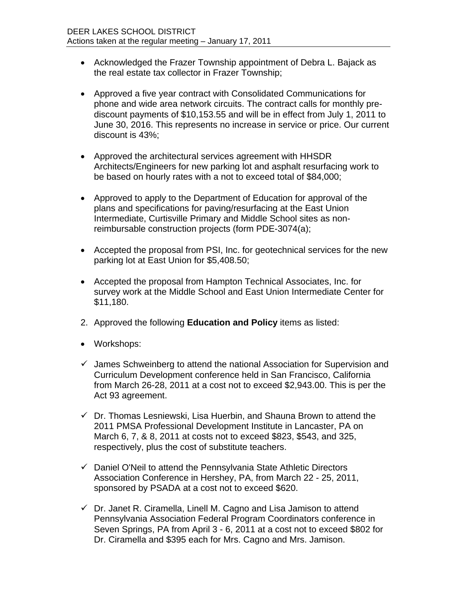- Acknowledged the Frazer Township appointment of Debra L. Bajack as the real estate tax collector in Frazer Township;
- Approved a five year contract with Consolidated Communications for phone and wide area network circuits. The contract calls for monthly prediscount payments of \$10,153.55 and will be in effect from July 1, 2011 to June 30, 2016. This represents no increase in service or price. Our current discount is 43%;
- Approved the architectural services agreement with HHSDR Architects/Engineers for new parking lot and asphalt resurfacing work to be based on hourly rates with a not to exceed total of \$84,000;
- Approved to apply to the Department of Education for approval of the plans and specifications for paving/resurfacing at the East Union Intermediate, Curtisville Primary and Middle School sites as nonreimbursable construction projects (form PDE-3074(a);
- Accepted the proposal from PSI, Inc. for geotechnical services for the new parking lot at East Union for \$5,408.50;
- Accepted the proposal from Hampton Technical Associates, Inc. for survey work at the Middle School and East Union Intermediate Center for \$11,180.
- 2. Approved the following **Education and Policy** items as listed:
- Workshops:
- $\checkmark$  James Schweinberg to attend the national Association for Supervision and Curriculum Development conference held in San Francisco, California from March 26-28, 2011 at a cost not to exceed \$2,943.00. This is per the Act 93 agreement.
- $\checkmark$  Dr. Thomas Lesniewski, Lisa Huerbin, and Shauna Brown to attend the 2011 PMSA Professional Development Institute in Lancaster, PA on March 6, 7, & 8, 2011 at costs not to exceed \$823, \$543, and 325, respectively, plus the cost of substitute teachers.
- $\checkmark$  Daniel O'Neil to attend the Pennsylvania State Athletic Directors Association Conference in Hershey, PA, from March 22 - 25, 2011, sponsored by PSADA at a cost not to exceed \$620.
- $\checkmark$  Dr. Janet R. Ciramella, Linell M. Cagno and Lisa Jamison to attend Pennsylvania Association Federal Program Coordinators conference in Seven Springs, PA from April 3 - 6, 2011 at a cost not to exceed \$802 for Dr. Ciramella and \$395 each for Mrs. Cagno and Mrs. Jamison.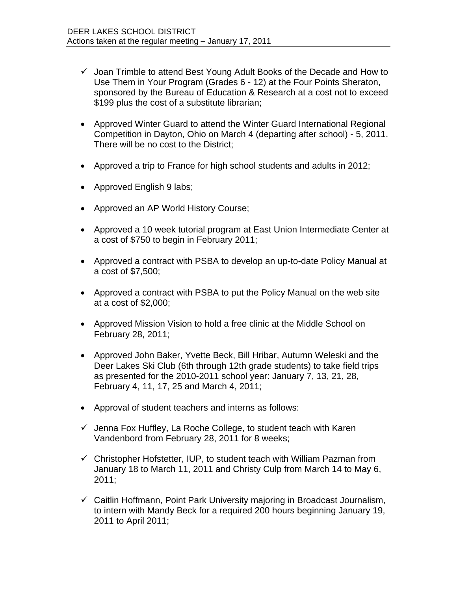- $\checkmark$  Joan Trimble to attend Best Young Adult Books of the Decade and How to Use Them in Your Program (Grades 6 - 12) at the Four Points Sheraton, sponsored by the Bureau of Education & Research at a cost not to exceed \$199 plus the cost of a substitute librarian;
- Approved Winter Guard to attend the Winter Guard International Regional Competition in Dayton, Ohio on March 4 (departing after school) - 5, 2011. There will be no cost to the District;
- Approved a trip to France for high school students and adults in 2012;
- Approved English 9 labs;
- Approved an AP World History Course;
- Approved a 10 week tutorial program at East Union Intermediate Center at a cost of \$750 to begin in February 2011;
- Approved a contract with PSBA to develop an up-to-date Policy Manual at a cost of \$7,500;
- Approved a contract with PSBA to put the Policy Manual on the web site at a cost of \$2,000;
- Approved Mission Vision to hold a free clinic at the Middle School on February 28, 2011;
- Approved John Baker, Yvette Beck, Bill Hribar, Autumn Weleski and the Deer Lakes Ski Club (6th through 12th grade students) to take field trips as presented for the 2010-2011 school year: January 7, 13, 21, 28, February 4, 11, 17, 25 and March 4, 2011;
- Approval of student teachers and interns as follows:
- $\checkmark$  Jenna Fox Huffley, La Roche College, to student teach with Karen Vandenbord from February 28, 2011 for 8 weeks;
- $\checkmark$  Christopher Hofstetter, IUP, to student teach with William Pazman from January 18 to March 11, 2011 and Christy Culp from March 14 to May 6, 2011;
- $\checkmark$  Caitlin Hoffmann, Point Park University majoring in Broadcast Journalism, to intern with Mandy Beck for a required 200 hours beginning January 19, 2011 to April 2011;